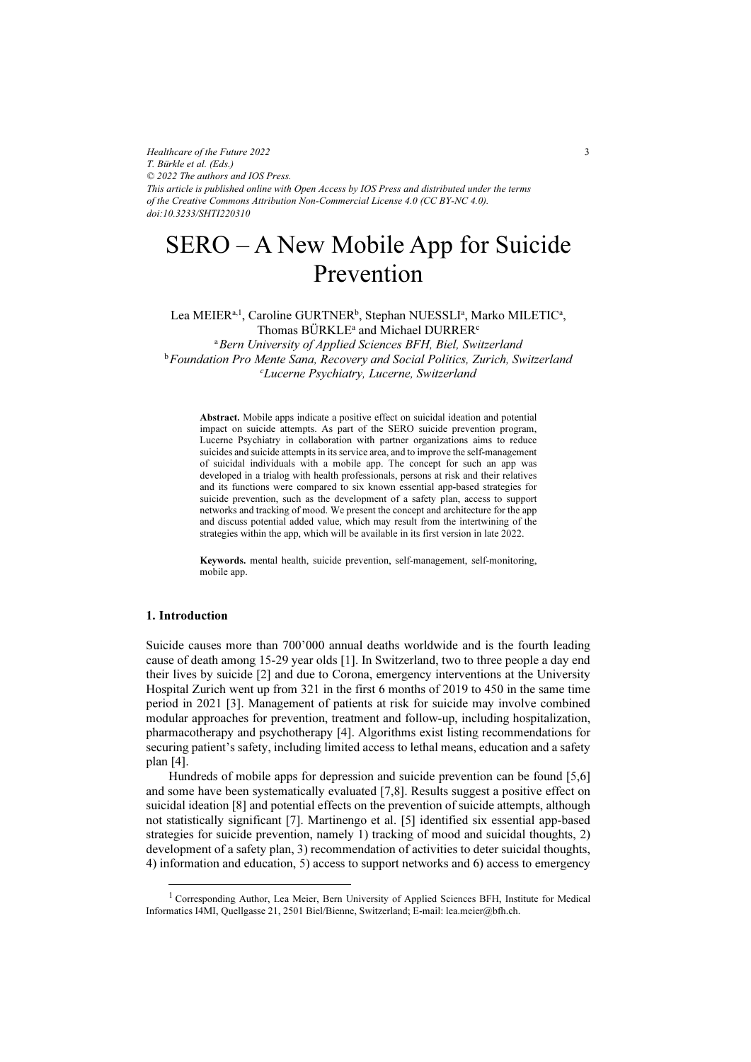*Healthcare of the Future 2022 T. Bürkle et al. (Eds.) © 2022 The authors and IOS Press. This article is published online with Open Access by IOS Press and distributed under the terms of the Creative Commons Attribution Non-Commercial License 4.0 (CC BY-NC 4.0). doi:10.3233/SHTI220310*

# SERO – A New Mobile App for Suicide Prevention

Lea MEIER<sup>a, 1</sup>, Caroline GURTNER<sup>b</sup>, Stephan NUESSLI<sup>a</sup>, Marko MILETIC<sup>a</sup>, Thomas BÜRKLE<sup>a</sup> and Michael DURRER<sup>c</sup> <sup>a</sup> Bern University of Applied Sciences BFH, Biel, Switzerland <sup>b</sup> Foundation Pro Mente Sana, Recovery and Social Politics, Zurich, Switzerland c Lucerne Psychiatry, Lucerne, Switzerland

Abstract. Mobile apps indicate a positive effect on suicidal ideation and potential impact on suicide attempts. As part of the SERO suicide prevention program, Lucerne Psychiatry in collaboration with partner organizations aims to reduce suicides and suicide attempts in its service area, and to improve the self-management of suicidal individuals with a mobile app. The concept for such an app was developed in a trialog with health professionals, persons at risk and their relatives and its functions were compared to six known essential app-based strategies for suicide prevention, such as the development of a safety plan, access to support networks and tracking of mood. We present the concept and architecture for the app and discuss potential added value, which may result from the intertwining of the strategies within the app, which will be available in its first version in late 2022.

Keywords. mental health, suicide prevention, self-management, self-monitoring, mobile app.

## 1. Introduction

Suicide causes more than 700'000 annual deaths worldwide and is the fourth leading cause of death among 15-29 year olds [1]. In Switzerland, two to three people a day end their lives by suicide [2] and due to Corona, emergency interventions at the University Hospital Zurich went up from 321 in the first 6 months of 2019 to 450 in the same time period in 2021 [3]. Management of patients at risk for suicide may involve combined modular approaches for prevention, treatment and follow-up, including hospitalization, pharmacotherapy and psychotherapy [4]. Algorithms exist listing recommendations for securing patient's safety, including limited access to lethal means, education and a safety plan [4].

Hundreds of mobile apps for depression and suicide prevention can be found [5,6] and some have been systematically evaluated [7,8]. Results suggest a positive effect on suicidal ideation [8] and potential effects on the prevention of suicide attempts, although not statistically significant [7]. Martinengo et al. [5] identified six essential app-based strategies for suicide prevention, namely 1) tracking of mood and suicidal thoughts, 2) development of a safety plan, 3) recommendation of activities to deter suicidal thoughts, 4) information and education, 5) access to support networks and 6) access to emergency

<sup>&</sup>lt;sup>1</sup> Corresponding Author, Lea Meier, Bern University of Applied Sciences BFH, Institute for Medical Informatics I4MI, Quellgasse 21, 2501 Biel/Bienne, Switzerland; E-mail: lea.meier@bfh.ch.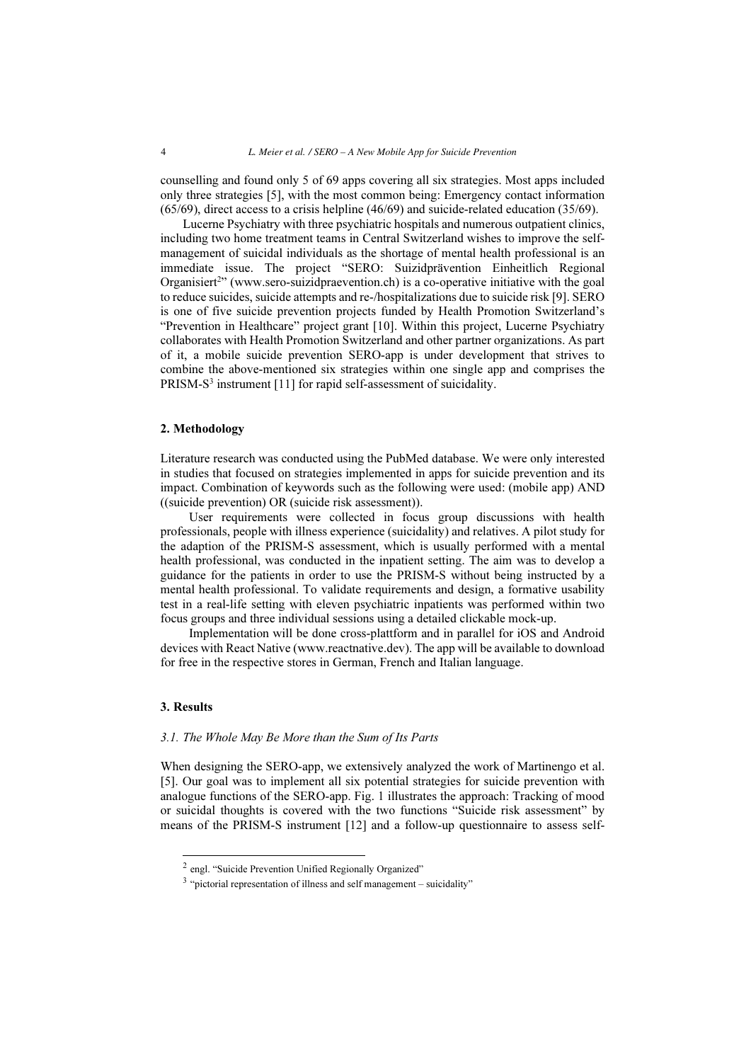counselling and found only 5 of 69 apps covering all six strategies. Most apps included only three strategies [5], with the most common being: Emergency contact information (65/69), direct access to a crisis helpline (46/69) and suicide-related education (35/69).

Lucerne Psychiatry with three psychiatric hospitals and numerous outpatient clinics, including two home treatment teams in Central Switzerland wishes to improve the selfmanagement of suicidal individuals as the shortage of mental health professional is an immediate issue. The project "SERO: Suizidprävention Einheitlich Regional Organisiert<sup>2</sup>" (www.sero-suizidpraevention.ch) is a co-operative initiative with the goal to reduce suicides, suicide attempts and re-/hospitalizations due to suicide risk [9]. SERO is one of five suicide prevention projects funded by Health Promotion Switzerland's "Prevention in Healthcare" project grant [10]. Within this project, Lucerne Psychiatry collaborates with Health Promotion Switzerland and other partner organizations. As part of it, a mobile suicide prevention SERO-app is under development that strives to combine the above-mentioned six strategies within one single app and comprises the PRISM-S<sup>3</sup> instrument [11] for rapid self-assessment of suicidality.

## 2. Methodology

Literature research was conducted using the PubMed database. We were only interested in studies that focused on strategies implemented in apps for suicide prevention and its impact. Combination of keywords such as the following were used: (mobile app) AND ((suicide prevention) OR (suicide risk assessment)).

User requirements were collected in focus group discussions with health professionals, people with illness experience (suicidality) and relatives. A pilot study for the adaption of the PRISM-S assessment, which is usually performed with a mental health professional, was conducted in the inpatient setting. The aim was to develop a guidance for the patients in order to use the PRISM-S without being instructed by a mental health professional. To validate requirements and design, a formative usability test in a real-life setting with eleven psychiatric inpatients was performed within two focus groups and three individual sessions using a detailed clickable mock-up.

Implementation will be done cross-plattform and in parallel for iOS and Android devices with React Native (www.reactnative.dev). The app will be available to download for free in the respective stores in German, French and Italian language.

#### 3. Results

### 3.1. The Whole May Be More than the Sum of Its Parts

When designing the SERO-app, we extensively analyzed the work of Martinengo et al. [5]. Our goal was to implement all six potential strategies for suicide prevention with analogue functions of the SERO-app. Fig. 1 illustrates the approach: Tracking of mood or suicidal thoughts is covered with the two functions "Suicide risk assessment" by means of the PRISM-S instrument [12] and a follow-up questionnaire to assess self-

<sup>&</sup>lt;sup>2</sup> engl. "Suicide Prevention Unified Regionally Organized"

<sup>3</sup> "pictorial representation of illness and self management – suicidality"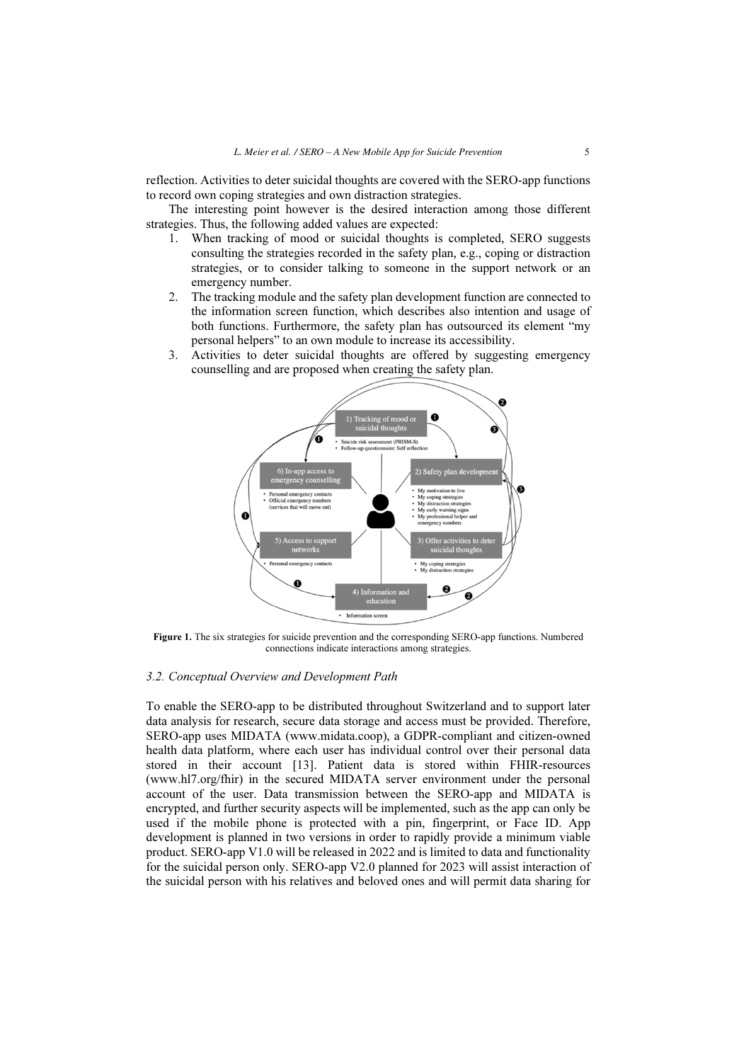reflection. Activities to deter suicidal thoughts are covered with the SERO-app functions to record own coping strategies and own distraction strategies.

The interesting point however is the desired interaction among those different strategies. Thus, the following added values are expected:

- 1. When tracking of mood or suicidal thoughts is completed, SERO suggests consulting the strategies recorded in the safety plan, e.g., coping or distraction strategies, or to consider talking to someone in the support network or an emergency number.
- 2. The tracking module and the safety plan development function are connected to the information screen function, which describes also intention and usage of both functions. Furthermore, the safety plan has outsourced its element "my personal helpers" to an own module to increase its accessibility.
- 3. Activities to deter suicidal thoughts are offered by suggesting emergency counselling and are proposed when creating the safety plan.



Figure 1. The six strategies for suicide prevention and the corresponding SERO-app functions. Numbered connections indicate interactions among strategies.

# 3.2. Conceptual Overview and Development Path

To enable the SERO-app to be distributed throughout Switzerland and to support later data analysis for research, secure data storage and access must be provided. Therefore, SERO-app uses MIDATA (www.midata.coop), a GDPR-compliant and citizen-owned health data platform, where each user has individual control over their personal data stored in their account [13]. Patient data is stored within FHIR-resources (www.hl7.org/fhir) in the secured MIDATA server environment under the personal account of the user. Data transmission between the SERO-app and MIDATA is encrypted, and further security aspects will be implemented, such as the app can only be used if the mobile phone is protected with a pin, fingerprint, or Face ID. App development is planned in two versions in order to rapidly provide a minimum viable product. SERO-app V1.0 will be released in 2022 and is limited to data and functionality for the suicidal person only. SERO-app V2.0 planned for 2023 will assist interaction of the suicidal person with his relatives and beloved ones and will permit data sharing for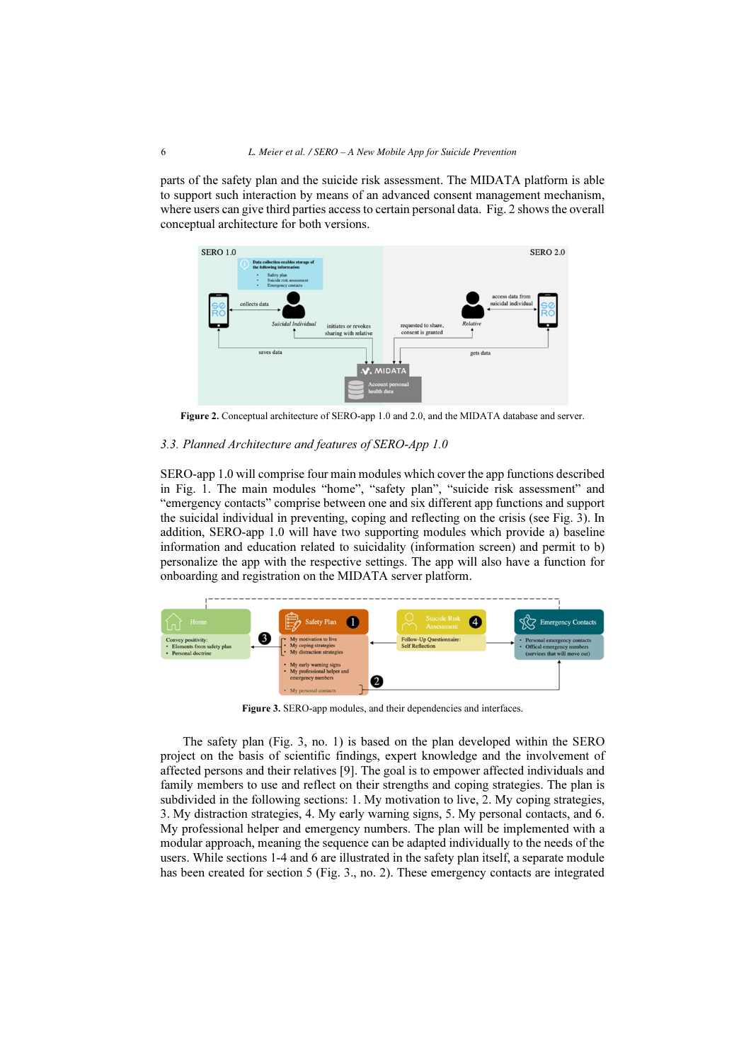parts of the safety plan and the suicide risk assessment. The MIDATA platform is able to support such interaction by means of an advanced consent management mechanism, where users can give third parties access to certain personal data. Fig. 2 shows the overall conceptual architecture for both versions.



Figure 2. Conceptual architecture of SERO-app 1.0 and 2.0, and the MIDATA database and server.

## 3.3. Planned Architecture and features of SERO-App 1.0

SERO-app 1.0 will comprise four main modules which cover the app functions described in Fig. 1. The main modules "home", "safety plan", "suicide risk assessment" and "emergency contacts" comprise between one and six different app functions and support the suicidal individual in preventing, coping and reflecting on the crisis (see Fig. 3). In addition, SERO-app 1.0 will have two supporting modules which provide a) baseline information and education related to suicidality (information screen) and permit to b) personalize the app with the respective settings. The app will also have a function for onboarding and registration on the MIDATA server platform.



Figure 3. SERO-app modules, and their dependencies and interfaces.

The safety plan (Fig. 3, no. 1) is based on the plan developed within the SERO project on the basis of scientific findings, expert knowledge and the involvement of affected persons and their relatives [9]. The goal is to empower affected individuals and family members to use and reflect on their strengths and coping strategies. The plan is subdivided in the following sections: 1. My motivation to live, 2. My coping strategies, 3. My distraction strategies, 4. My early warning signs, 5. My personal contacts, and 6. My professional helper and emergency numbers. The plan will be implemented with a modular approach, meaning the sequence can be adapted individually to the needs of the users. While sections 1-4 and 6 are illustrated in the safety plan itself, a separate module has been created for section 5 (Fig. 3., no. 2). These emergency contacts are integrated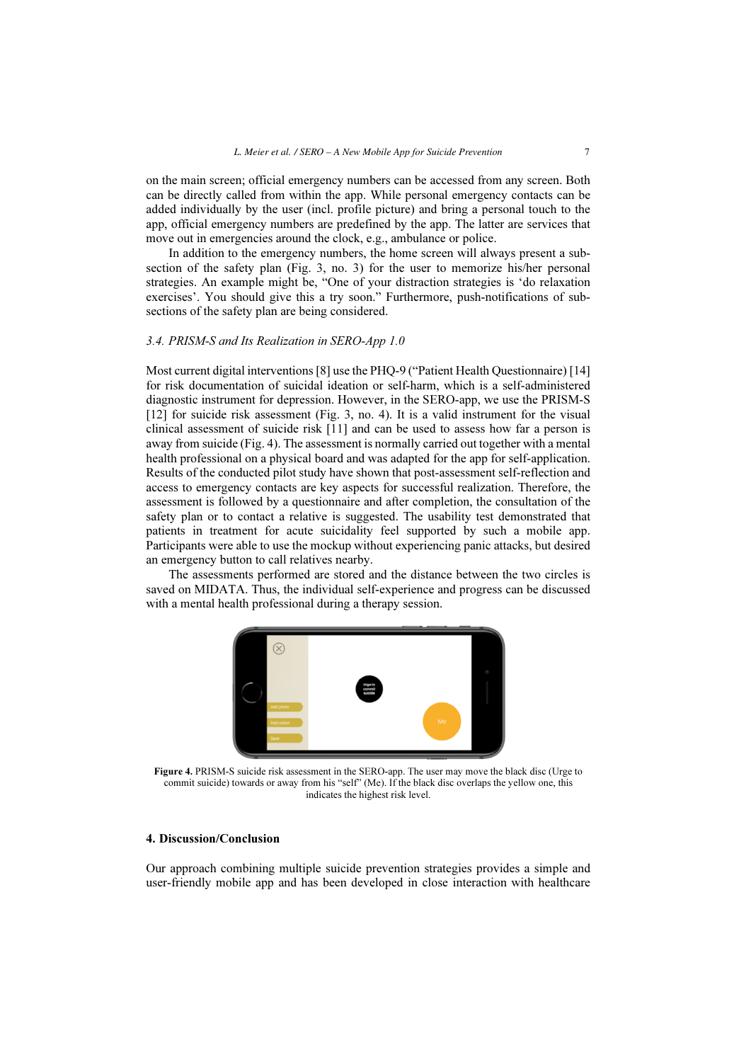on the main screen; official emergency numbers can be accessed from any screen. Both can be directly called from within the app. While personal emergency contacts can be added individually by the user (incl. profile picture) and bring a personal touch to the app, official emergency numbers are predefined by the app. The latter are services that move out in emergencies around the clock, e.g., ambulance or police.

In addition to the emergency numbers, the home screen will always present a subsection of the safety plan (Fig. 3, no. 3) for the user to memorize his/her personal strategies. An example might be, "One of your distraction strategies is 'do relaxation exercises'. You should give this a try soon." Furthermore, push-notifications of subsections of the safety plan are being considered.

# 3.4. PRISM-S and Its Realization in SERO-App 1.0

Most current digital interventions [8] use the PHQ-9 ("Patient Health Questionnaire) [14] for risk documentation of suicidal ideation or self-harm, which is a self-administered diagnostic instrument for depression. However, in the SERO-app, we use the PRISM-S [12] for suicide risk assessment (Fig. 3, no. 4). It is a valid instrument for the visual clinical assessment of suicide risk [11] and can be used to assess how far a person is away from suicide (Fig. 4). The assessment is normally carried out together with a mental health professional on a physical board and was adapted for the app for self-application. Results of the conducted pilot study have shown that post-assessment self-reflection and access to emergency contacts are key aspects for successful realization. Therefore, the assessment is followed by a questionnaire and after completion, the consultation of the safety plan or to contact a relative is suggested. The usability test demonstrated that patients in treatment for acute suicidality feel supported by such a mobile app. Participants were able to use the mockup without experiencing panic attacks, but desired an emergency button to call relatives nearby.

The assessments performed are stored and the distance between the two circles is saved on MIDATA. Thus, the individual self-experience and progress can be discussed with a mental health professional during a therapy session.



Figure 4. PRISM-S suicide risk assessment in the SERO-app. The user may move the black disc (Urge to commit suicide) towards or away from his "self" (Me). If the black disc overlaps the yellow one, this indicates the highest risk level.

## 4. Discussion/Conclusion

Our approach combining multiple suicide prevention strategies provides a simple and user-friendly mobile app and has been developed in close interaction with healthcare